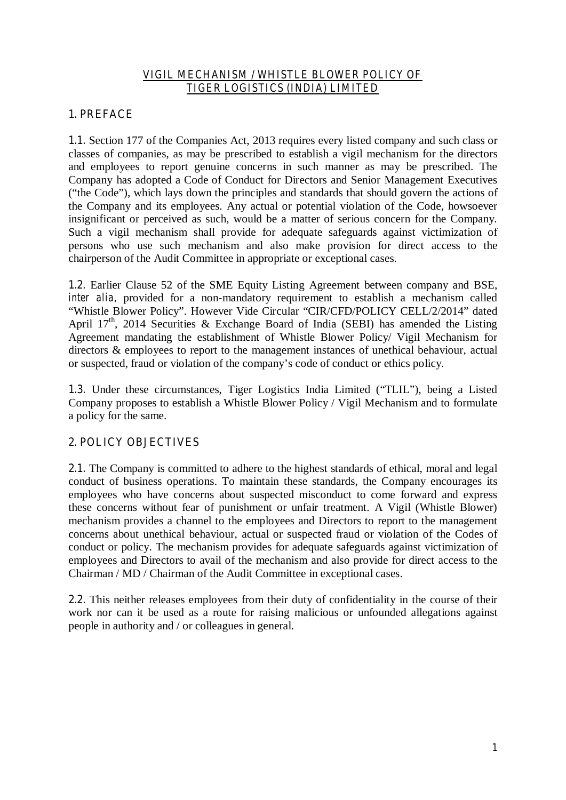### *VIGIL MECHANISM / WHISTLE BLOWER POLICY OF TIGER LOGISTICS (INDIA) LIMITED*

# **1. PREFACE**

**1.1.** Section 177 of the Companies Act, 2013 requires every listed company and such class or classes of companies, as may be prescribed to establish a vigil mechanism for the directors and employees to report genuine concerns in such manner as may be prescribed. The Company has adopted a Code of Conduct for Directors and Senior Management Executives ("the Code"), which lays down the principles and standards that should govern the actions of the Company and its employees. Any actual or potential violation of the Code, howsoever insignificant or perceived as such, would be a matter of serious concern for the Company. Such a vigil mechanism shall provide for adequate safeguards against victimization of persons who use such mechanism and also make provision for direct access to the chairperson of the Audit Committee in appropriate or exceptional cases.

**1.2.** Earlier Clause 52 of the SME Equity Listing Agreement between company and BSE, *inter alia, provided for a non-mandatory requirement to establish a mechanism called* "Whistle Blower Policy". However Vide Circular "CIR/CFD/POLICY CELL/2/2014" dated April  $17<sup>th</sup>$ , 2014 Securities & Exchange Board of India (SEBI) has amended the Listing Agreement mandating the establishment of Whistle Blower Policy/ Vigil Mechanism for directors & employees to report to the management instances of unethical behaviour, actual or suspected, fraud or violation of the company's code of conduct or ethics policy.

**1.3.** Under these circumstances, Tiger Logistics India Limited ("TLIL"), being a Listed Company proposes to establish a Whistle Blower Policy / Vigil Mechanism and to formulate a policy for the same.

# **2. POLICY OBJECTIVES**

2.1. The Company is committed to adhere to the highest standards of ethical, moral and legal conduct of business operations. To maintain these standards, the Company encourages its employees who have concerns about suspected misconduct to come forward and express these concerns without fear of punishment or unfair treatment. A Vigil (Whistle Blower) mechanism provides a channel to the employees and Directors to report to the management concerns about unethical behaviour, actual or suspected fraud or violation of the Codes of conduct or policy. The mechanism provides for adequate safeguards against victimization of employees and Directors to avail of the mechanism and also provide for direct access to the Chairman / MD / Chairman of the Audit Committee in exceptional cases.

**2.2.** This neither releases employees from their duty of confidentiality in the course of their work nor can it be used as a route for raising malicious or unfounded allegations against people in authority and / or colleagues in general.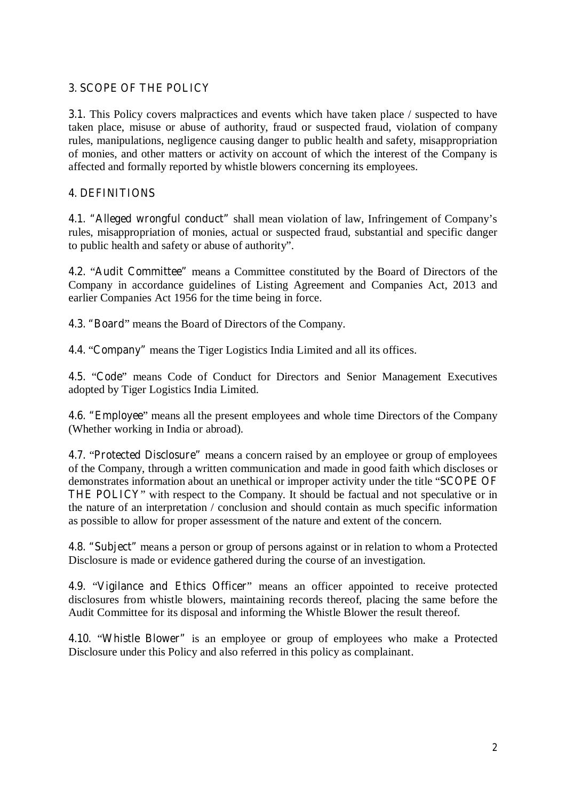### **3. SCOPE OF THE POLICY**

**3.1.** This Policy covers malpractices and events which have taken place / suspected to have taken place, misuse or abuse of authority, fraud or suspected fraud, violation of company rules, manipulations, negligence causing danger to public health and safety, misappropriation of monies, and other matters or activity on account of which the interest of the Company is affected and formally reported by whistle blowers concerning its employees.

# **4. DEFINITIONS**

**4.1. "Alleged wrongful conduct"** shall mean violation of law, Infringement of Company's rules, misappropriation of monies, actual or suspected fraud, substantial and specific danger to public health and safety or abuse of authority".

**4.2.** "**Audit Committee"** means a Committee constituted by the Board of Directors of the Company in accordance guidelines of Listing Agreement and Companies Act, 2013 and earlier Companies Act 1956 for the time being in force.

**4.3. "Board**" means the Board of Directors of the Company.

**4.4.** "**Company"** means the Tiger Logistics India Limited and all its offices.

**4.5.** "**Code**" means Code of Conduct for Directors and Senior Management Executives adopted by Tiger Logistics India Limited.

**4.6. "Employee**" means all the present employees and whole time Directors of the Company (Whether working in India or abroad).

**4.7.** "**Protected Disclosure"** means a concern raised by an employee or group of employees of the Company, through a written communication and made in good faith which discloses or demonstrates information about an unethical or improper activity under the title "**SCOPE OF THE POLICY**" with respect to the Company. It should be factual and not speculative or in the nature of an interpretation / conclusion and should contain as much specific information as possible to allow for proper assessment of the nature and extent of the concern.

**4.8. "Subject"** means a person or group of persons against or in relation to whom a Protected Disclosure is made or evidence gathered during the course of an investigation.

**4.9.** "**Vigilance and Ethics Officer**" means an officer appointed to receive protected disclosures from whistle blowers, maintaining records thereof, placing the same before the Audit Committee for its disposal and informing the Whistle Blower the result thereof.

**4.10.** "**Whistle Blower"** is an employee or group of employees who make a Protected Disclosure under this Policy and also referred in this policy as complainant.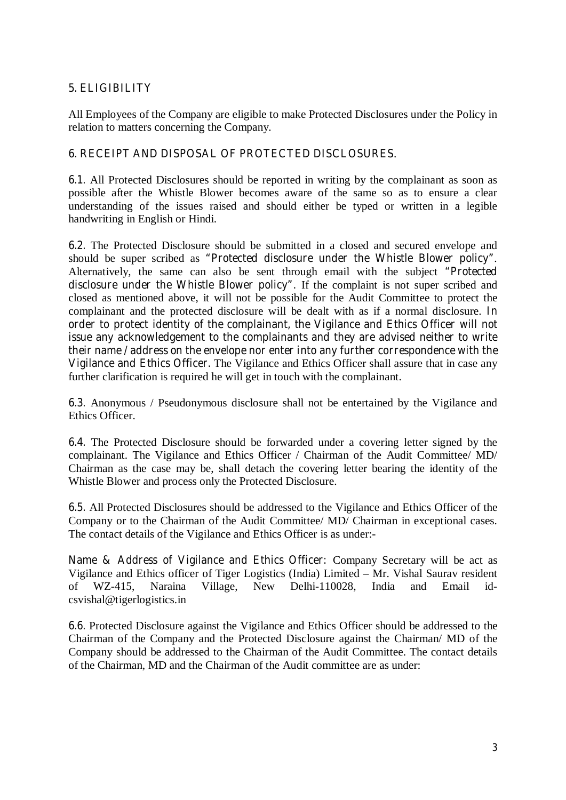## **5. ELIGIBILITY**

All Employees of the Company are eligible to make Protected Disclosures under the Policy in relation to matters concerning the Company.

#### **6. RECEIPT AND DISPOSAL OF PROTECTED DISCLOSURES**.

**6.1.** All Protected Disclosures should be reported in writing by the complainant as soon as possible after the Whistle Blower becomes aware of the same so as to ensure a clear understanding of the issues raised and should either be typed or written in a legible handwriting in English or Hindi.

**6.2.** The Protected Disclosure should be submitted in a closed and secured envelope and should be super scribed as **"Protected disclosure under the Whistle Blower policy"**. Alternatively, the same can also be sent through email with the subject **"Protected disclosure under the Whistle Blower policy".** If the complaint is not super scribed and closed as mentioned above, it will not be possible for the Audit Committee to protect the complainant and the protected disclosure will be dealt with as if a normal disclosure. **In order to protect identity of the complainant, the Vigilance and Ethics Officer will not issue any acknowledgement to the complainants and they are advised neither to write their name / address on the envelope nor enter into any further correspondence with the Vigilance and Ethics Officer.** The Vigilance and Ethics Officer shall assure that in case any further clarification is required he will get in touch with the complainant.

**6.3.** Anonymous / Pseudonymous disclosure shall not be entertained by the Vigilance and Ethics Officer.

**6.4.** The Protected Disclosure should be forwarded under a covering letter signed by the complainant. The Vigilance and Ethics Officer / Chairman of the Audit Committee/ MD/ Chairman as the case may be, shall detach the covering letter bearing the identity of the Whistle Blower and process only the Protected Disclosure.

**6.5.** All Protected Disclosures should be addressed to the Vigilance and Ethics Officer of the Company or to the Chairman of the Audit Committee/ MD/ Chairman in exceptional cases. The contact details of the Vigilance and Ethics Officer is as under:-

**Name & Address of Vigilance and Ethics Officer:** Company Secretary will be act as Vigilance and Ethics officer of Tiger Logistics (India) Limited – Mr. Vishal Saurav resident of WZ-415. Naraina Village, New Delhi-110028, India and Email idof WZ-415, Naraina Village, New Delhi-110028, India and Email idcsvishal@tigerlogistics.in

**6.6.** Protected Disclosure against the Vigilance and Ethics Officer should be addressed to the Chairman of the Company and the Protected Disclosure against the Chairman/ MD of the Company should be addressed to the Chairman of the Audit Committee. The contact details of the Chairman, MD and the Chairman of the Audit committee are as under: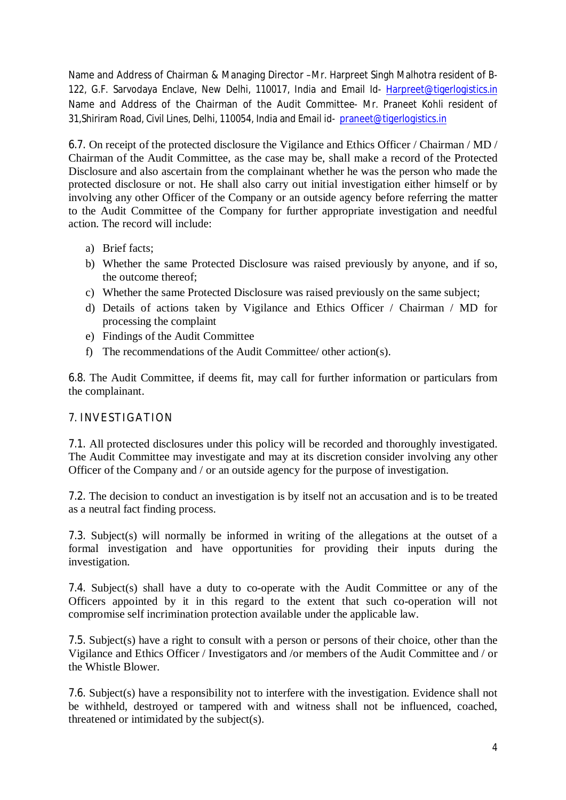**Name and Address of Chairman & Managing Director –**Mr. Harpreet Singh Malhotra resident of B-122, G.F. Sarvodaya Enclave, New Delhi, 110017, India and Email Id- Harpreet@tigerlogistics.in **Name and Address of the Chairman of the Audit Committee-** Mr. Praneet Kohli resident of 31,Shiriram Road, Civil Lines, Delhi, 110054, India and Email id- praneet@tigerlogistics.in

**6.7.** On receipt of the protected disclosure the Vigilance and Ethics Officer / Chairman / MD / Chairman of the Audit Committee, as the case may be, shall make a record of the Protected Disclosure and also ascertain from the complainant whether he was the person who made the protected disclosure or not. He shall also carry out initial investigation either himself or by involving any other Officer of the Company or an outside agency before referring the matter to the Audit Committee of the Company for further appropriate investigation and needful action. The record will include:

- a) Brief facts;
- b) Whether the same Protected Disclosure was raised previously by anyone, and if so, the outcome thereof;
- c) Whether the same Protected Disclosure was raised previously on the same subject;
- d) Details of actions taken by Vigilance and Ethics Officer / Chairman / MD for processing the complaint
- e) Findings of the Audit Committee
- f) The recommendations of the Audit Committee/ other action(s).

**6.8.** The Audit Committee, if deems fit, may call for further information or particulars from the complainant.

# **7. INVESTIGATION**

**7.1.** All protected disclosures under this policy will be recorded and thoroughly investigated. The Audit Committee may investigate and may at its discretion consider involving any other Officer of the Company and / or an outside agency for the purpose of investigation.

**7.2.** The decision to conduct an investigation is by itself not an accusation and is to be treated as a neutral fact finding process.

**7.3.** Subject(s) will normally be informed in writing of the allegations at the outset of a formal investigation and have opportunities for providing their inputs during the investigation.

**7.4.** Subject(s) shall have a duty to co-operate with the Audit Committee or any of the Officers appointed by it in this regard to the extent that such co-operation will not compromise self incrimination protection available under the applicable law.

**7.5.** Subject(s) have a right to consult with a person or persons of their choice, other than the Vigilance and Ethics Officer / Investigators and /or members of the Audit Committee and / or the Whistle Blower.

**7.6.** Subject(s) have a responsibility not to interfere with the investigation. Evidence shall not be withheld, destroyed or tampered with and witness shall not be influenced, coached, threatened or intimidated by the subject(s).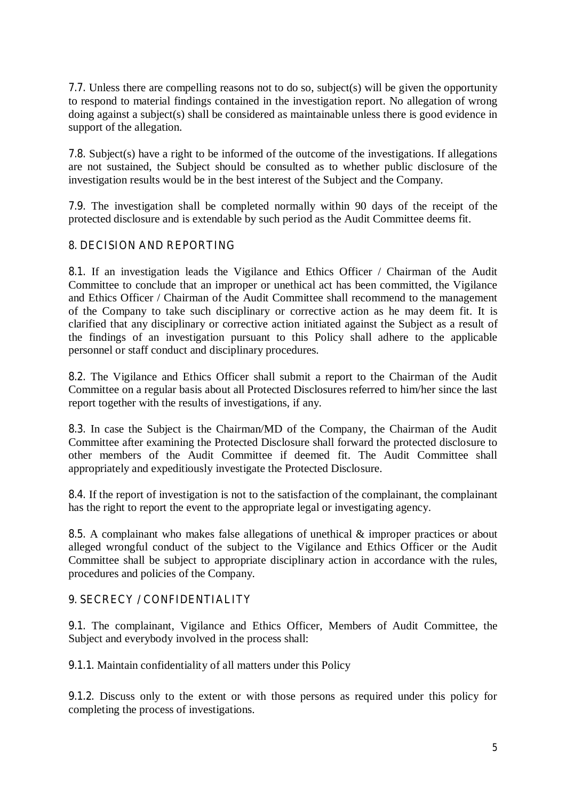**7.7.** Unless there are compelling reasons not to do so, subject(s) will be given the opportunity to respond to material findings contained in the investigation report. No allegation of wrong doing against a subject(s) shall be considered as maintainable unless there is good evidence in support of the allegation.

**7.8.** Subject(s) have a right to be informed of the outcome of the investigations. If allegations are not sustained, the Subject should be consulted as to whether public disclosure of the investigation results would be in the best interest of the Subject and the Company.

**7.9.** The investigation shall be completed normally within 90 days of the receipt of the protected disclosure and is extendable by such period as the Audit Committee deems fit.

### **8. DECISION AND REPORTING**

**8.1.** If an investigation leads the Vigilance and Ethics Officer / Chairman of the Audit Committee to conclude that an improper or unethical act has been committed, the Vigilance and Ethics Officer / Chairman of the Audit Committee shall recommend to the management of the Company to take such disciplinary or corrective action as he may deem fit. It is clarified that any disciplinary or corrective action initiated against the Subject as a result of the findings of an investigation pursuant to this Policy shall adhere to the applicable personnel or staff conduct and disciplinary procedures.

**8.2.** The Vigilance and Ethics Officer shall submit a report to the Chairman of the Audit Committee on a regular basis about all Protected Disclosures referred to him/her since the last report together with the results of investigations, if any.

**8.3.** In case the Subject is the Chairman/MD of the Company, the Chairman of the Audit Committee after examining the Protected Disclosure shall forward the protected disclosure to other members of the Audit Committee if deemed fit. The Audit Committee shall appropriately and expeditiously investigate the Protected Disclosure.

**8.4.** If the report of investigation is not to the satisfaction of the complainant, the complainant has the right to report the event to the appropriate legal or investigating agency.

**8.5.** A complainant who makes false allegations of unethical & improper practices or about alleged wrongful conduct of the subject to the Vigilance and Ethics Officer or the Audit Committee shall be subject to appropriate disciplinary action in accordance with the rules, procedures and policies of the Company.

### **9. SECRECY / CONFIDENTIALITY**

**9.1.** The complainant, Vigilance and Ethics Officer, Members of Audit Committee, the Subject and everybody involved in the process shall:

**9.1.1.** Maintain confidentiality of all matters under this Policy

**9.1.2.** Discuss only to the extent or with those persons as required under this policy for completing the process of investigations.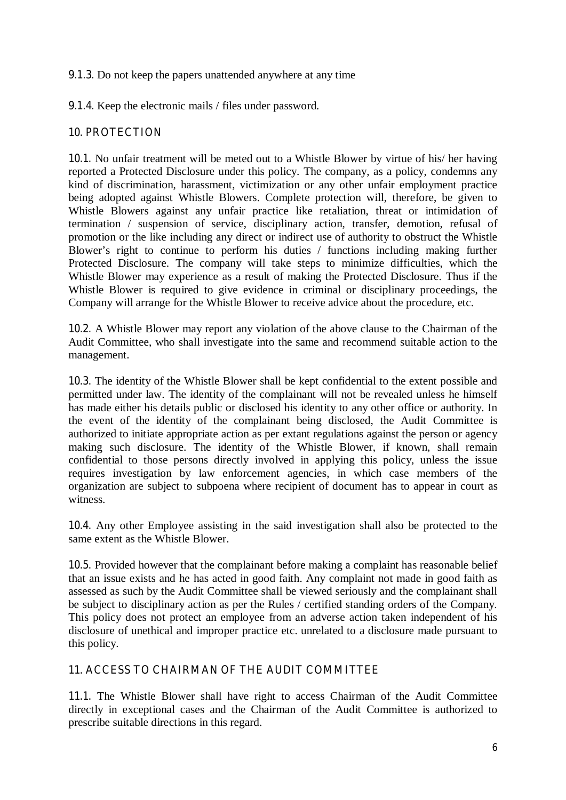#### **9.1.3.** Do not keep the papers unattended anywhere at any time

**9.1.4.** Keep the electronic mails / files under password.

### **10. PROTECTION**

**10.1.** No unfair treatment will be meted out to a Whistle Blower by virtue of his/ her having reported a Protected Disclosure under this policy. The company, as a policy, condemns any kind of discrimination, harassment, victimization or any other unfair employment practice being adopted against Whistle Blowers. Complete protection will, therefore, be given to Whistle Blowers against any unfair practice like retaliation, threat or intimidation of termination / suspension of service, disciplinary action, transfer, demotion, refusal of promotion or the like including any direct or indirect use of authority to obstruct the Whistle Blower's right to continue to perform his duties / functions including making further Protected Disclosure. The company will take steps to minimize difficulties, which the Whistle Blower may experience as a result of making the Protected Disclosure. Thus if the Whistle Blower is required to give evidence in criminal or disciplinary proceedings, the Company will arrange for the Whistle Blower to receive advice about the procedure, etc.

**10.2.** A Whistle Blower may report any violation of the above clause to the Chairman of the Audit Committee, who shall investigate into the same and recommend suitable action to the management.

**10.3.** The identity of the Whistle Blower shall be kept confidential to the extent possible and permitted under law. The identity of the complainant will not be revealed unless he himself has made either his details public or disclosed his identity to any other office or authority. In the event of the identity of the complainant being disclosed, the Audit Committee is authorized to initiate appropriate action as per extant regulations against the person or agency making such disclosure. The identity of the Whistle Blower, if known, shall remain confidential to those persons directly involved in applying this policy, unless the issue requires investigation by law enforcement agencies, in which case members of the organization are subject to subpoena where recipient of document has to appear in court as witness.

**10.4.** Any other Employee assisting in the said investigation shall also be protected to the same extent as the Whistle Blower.

**10.5.** Provided however that the complainant before making a complaint has reasonable belief that an issue exists and he has acted in good faith. Any complaint not made in good faith as assessed as such by the Audit Committee shall be viewed seriously and the complainant shall be subject to disciplinary action as per the Rules / certified standing orders of the Company. This policy does not protect an employee from an adverse action taken independent of his disclosure of unethical and improper practice etc. unrelated to a disclosure made pursuant to this policy.

### **11. ACCESS TO CHAIRMAN OF THE AUDIT COMMITTEE**

**11.1.** The Whistle Blower shall have right to access Chairman of the Audit Committee directly in exceptional cases and the Chairman of the Audit Committee is authorized to prescribe suitable directions in this regard.